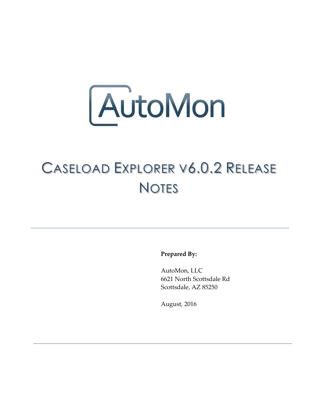

## CASELOAD EXPLORER V6.0.2 RELEASE **NOTES**

**Prepared By:**

AutoMon, LLC 6621 North Scottsdale Rd Scottsdale, AZ 85250

August, 2016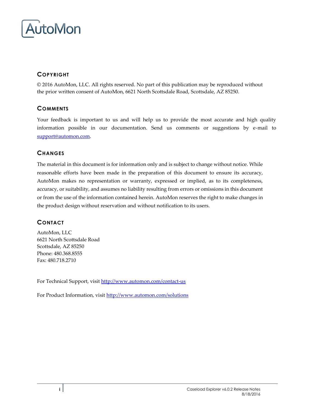

## **COPYRIGHT**

© 2016 AutoMon, LLC. All rights reserved. No part of this publication may be reproduced without the prior written consent of AutoMon, 6621 North Scottsdale Road, Scottsdale, AZ 85250.

### **COMMENTS**

Your feedback is important to us and will help us to provide the most accurate and high quality information possible in our documentation. Send us comments or suggestions by e-mail to [support@automon.com.](mailto:support@automon.com)

### **CHANGES**

The material in this document is for information only and is subject to change without notice. While reasonable efforts have been made in the preparation of this document to ensure its accuracy, AutoMon makes no representation or warranty, expressed or implied, as to its completeness, accuracy, or suitability, and assumes no liability resulting from errors or omissions in this document or from the use of the information contained herein. AutoMon reserves the right to make changes in the product design without reservation and without notification to its users.

### **CONTACT**

AutoMon, LLC 6621 North Scottsdale Road Scottsdale, AZ 85250 Phone: 480.368.8555 Fax: 480.718.2710

For Technical Support, visi[t http://www.automon.com/contact-us](http://www.automon.com/#!contact/c1d94)

For Product Information, visit [http://www.automon.com/solutions](http://www.automon.com/#!products/ch6q)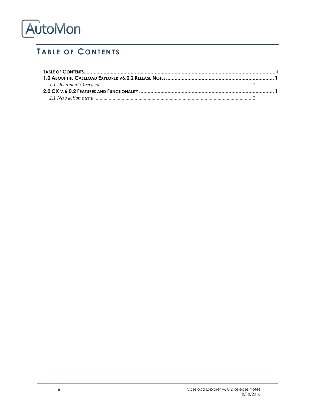# AutoMon

## <span id="page-2-0"></span>**TABLE OF CONTENTS**